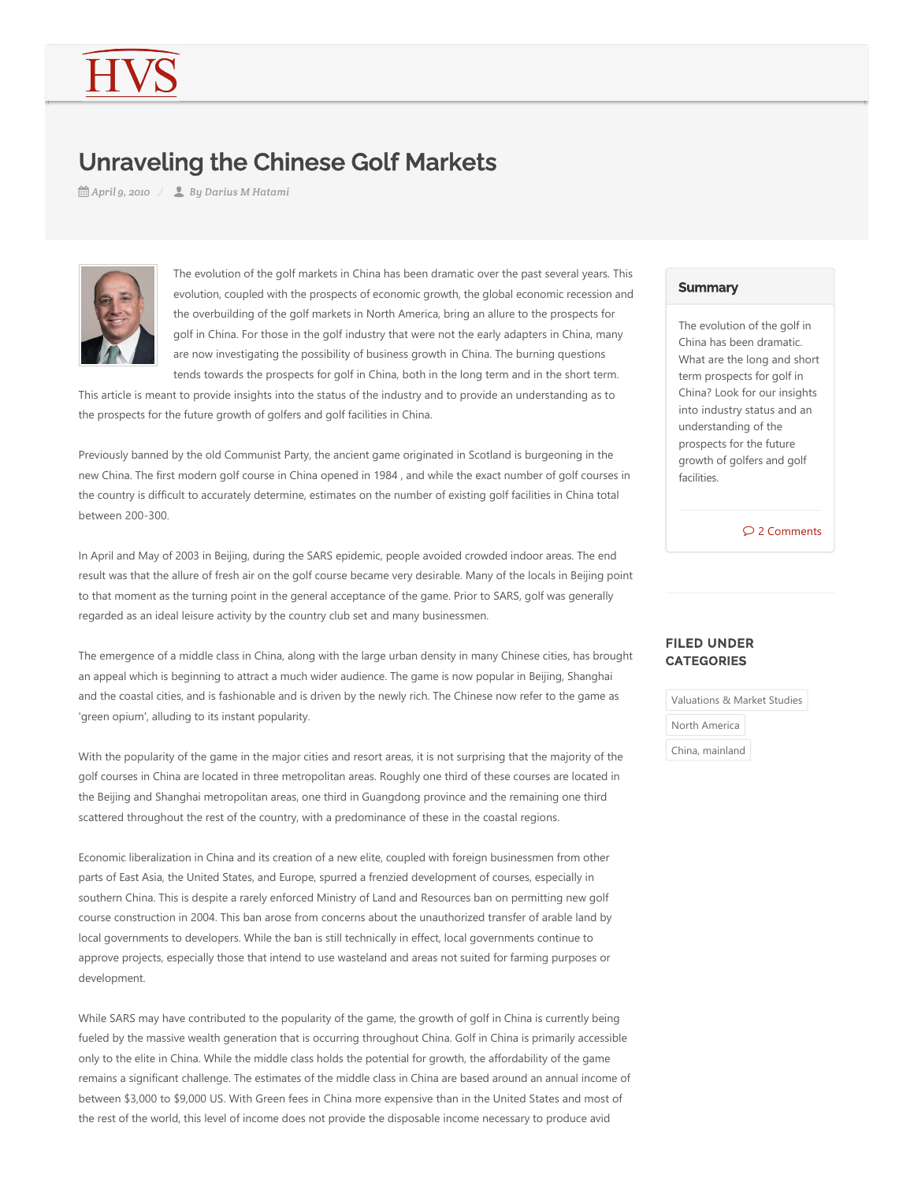# Unraveling the Chinese Golf Markets

*April 9, 2010 By Darius M Hatami*



The evolution of the golf markets in China has been dramatic over the past several years. This evolution, coupled with the prospects of economic growth, the global economic recession and the overbuilding of the golf markets in North America, bring an allure to the prospects for golf in China. For those in the golf industry that were not the early adapters in China, many are now investigating the possibility of business growth in China. The burning questions tends towards the prospects for golf in China, both in the long term and in the short term.

This article is meant to provide insights into the status of the industry and to provide an understanding as to the prospects for the future growth of golfers and golf facilities in China.

Previously banned by the old Communist Party, the ancient game originated in Scotland is burgeoning in the new China. The first modern golf course in China opened in 1984 , and while the exact number of golf courses in the country is difficult to accurately determine, estimates on the number of existing golf facilities in China total between 200‐300.

In April and May of 2003 in Beijing, during the SARS epidemic, people avoided crowded indoor areas. The end result was that the allure of fresh air on the golf course became very desirable. Many of the locals in Beijing point to that moment as the turning point in the general acceptance of the game. Prior to SARS, golf was generally regarded as an ideal leisure activity by the country club set and many businessmen.

The emergence of a middle class in China, along with the large urban density in many Chinese cities, has brought an appeal which is beginning to attract a much wider audience. The game is now popular in Beijing, Shanghai and the coastal cities, and is fashionable and is driven by the newly rich. The Chinese now refer to the game as 'green opium', alluding to its instant popularity.

With the popularity of the game in the major cities and resort areas, it is not surprising that the majority of the golf courses in China are located in three metropolitan areas. Roughly one third of these courses are located in the Beijing and Shanghai metropolitan areas, one third in Guangdong province and the remaining one third scattered throughout the rest of the country, with a predominance of these in the coastal regions.

Economic liberalization in China and its creation of a new elite, coupled with foreign businessmen from other parts of East Asia, the United States, and Europe, spurred a frenzied development of courses, especially in southern China. This is despite a rarely enforced Ministry of Land and Resources ban on permitting new golf course construction in 2004. This ban arose from concerns about the unauthorized transfer of arable land by local governments to developers. While the ban is still technically in effect, local governments continue to approve projects, especially those that intend to use wasteland and areas not suited for farming purposes or development.

While SARS may have contributed to the popularity of the game, the growth of golf in China is currently being fueled by the massive wealth generation that is occurring throughout China. Golf in China is primarily accessible only to the elite in China. While the middle class holds the potential for growth, the affordability of the game remains a significant challenge. The estimates of the middle class in China are based around an annual income of between \$3,000 to \$9,000 US. With Green fees in China more expensive than in the United States and most of the rest of the world, this level of income does not provide the disposable income necessary to produce avid

#### **Summary**

The evolution of the golf in China has been dramatic. What are the long and short term prospects for golf in China? Look for our insights into industry status and an understanding of the prospects for the future growth of golfers and golf facilities.

2 Comments

## FILED UNDER **CATEGORIES**

Valuations & Market Studies

North America

China, mainland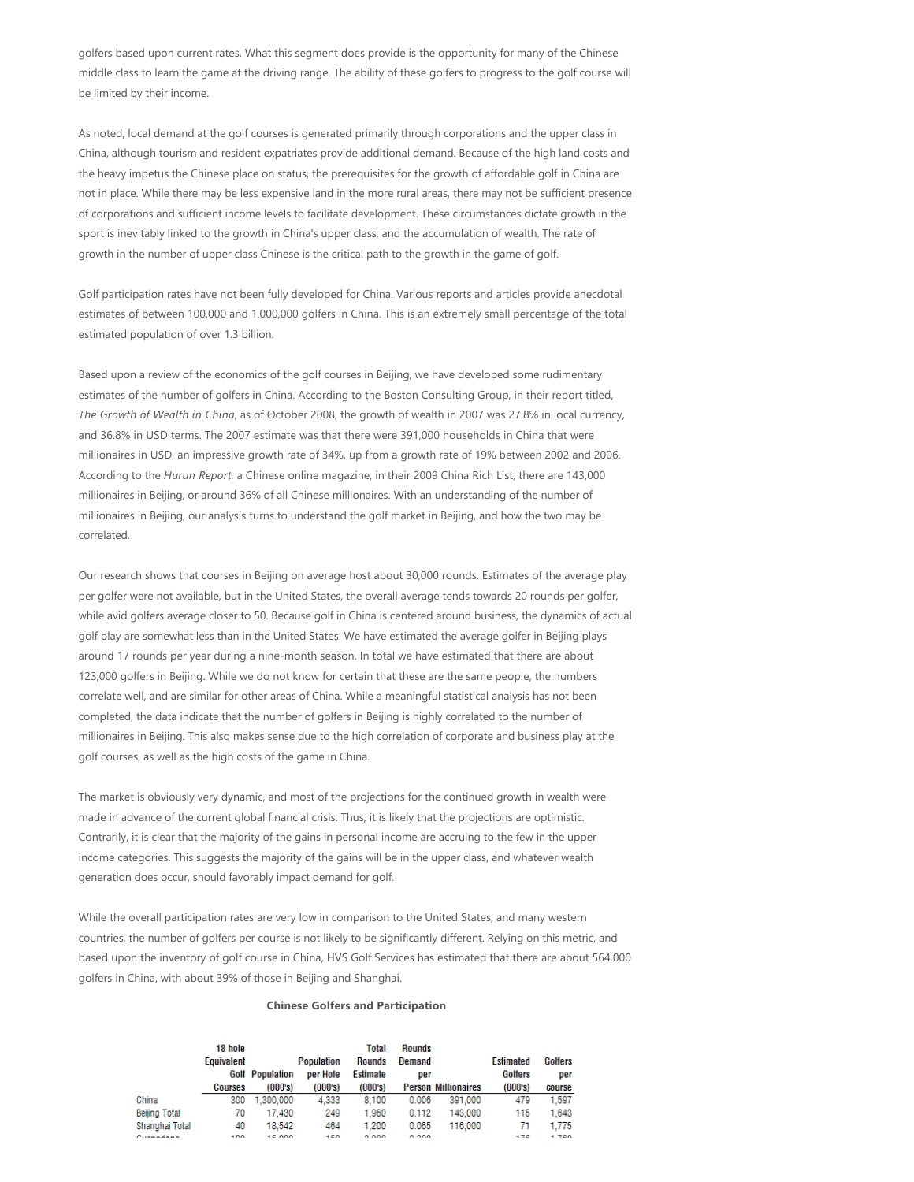golfers based upon current rates. What this segment does provide is the opportunity for many of the Chinese middle class to learn the game at the driving range. The ability of these golfers to progress to the golf course will be limited by their income.

As noted, local demand at the golf courses is generated primarily through corporations and the upper class in China, although tourism and resident expatriates provide additional demand. Because of the high land costs and the heavy impetus the Chinese place on status, the prerequisites for the growth of affordable golf in China are not in place. While there may be less expensive land in the more rural areas, there may not be sufficient presence of corporations and sufficient income levels to facilitate development. These circumstances dictate growth in the sport is inevitably linked to the growth in China's upper class, and the accumulation of wealth. The rate of growth in the number of upper class Chinese is the critical path to the growth in the game of golf.

Golf participation rates have not been fully developed for China. Various reports and articles provide anecdotal estimates of between 100,000 and 1,000,000 golfers in China. This is an extremely small percentage of the total estimated population of over 1.3 billion.

Based upon a review of the economics of the golf courses in Beijing, we have developed some rudimentary estimates of the number of golfers in China. According to the Boston Consulting Group, in their report titled, *The Growth of Wealth in China*, as of October 2008, the growth of wealth in 2007 was 27.8% in local currency, and 36.8% in USD terms. The 2007 estimate was that there were 391,000 households in China that were millionaires in USD, an impressive growth rate of 34%, up from a growth rate of 19% between 2002 and 2006. According to the *Hurun Report*, a Chinese online magazine, in their 2009 China Rich List, there are 143,000 millionaires in Beijing, or around 36% of all Chinese millionaires. With an understanding of the number of millionaires in Beijing, our analysis turns to understand the golf market in Beijing, and how the two may be correlated.

Our research shows that courses in Beijing on average host about 30,000 rounds. Estimates of the average play per golfer were not available, but in the United States, the overall average tends towards 20 rounds per golfer, while avid golfers average closer to 50. Because golf in China is centered around business, the dynamics of actual golf play are somewhat less than in the United States. We have estimated the average golfer in Beijing plays around 17 rounds per year during a nine‐month season. In total we have estimated that there are about 123,000 golfers in Beijing. While we do not know for certain that these are the same people, the numbers correlate well, and are similar for other areas of China. While a meaningful statistical analysis has not been completed, the data indicate that the number of golfers in Beijing is highly correlated to the number of millionaires in Beijing. This also makes sense due to the high correlation of corporate and business play at the golf courses, as well as the high costs of the game in China.

The market is obviously very dynamic, and most of the projections for the continued growth in wealth were made in advance of the current global financial crisis. Thus, it is likely that the projections are optimistic. Contrarily, it is clear that the majority of the gains in personal income are accruing to the few in the upper income categories. This suggests the majority of the gains will be in the upper class, and whatever wealth generation does occur, should favorably impact demand for golf.

While the overall participation rates are very low in comparison to the United States, and many western countries, the number of golfers per course is not likely to be significantly different. Relying on this metric, and based upon the inventory of golf course in China, HVS Golf Services has estimated that there are about 564,000 golfers in China, with about 39% of those in Beijing and Shanghai.

#### **Chinese Golfers and Participation**

|                              | 18 hole<br>Equivalent<br><b>Courses</b> | <b>Golf Population</b><br>(000's) | Population<br>per Hole<br>(000's) | Total<br><b>Rounds</b><br>Estimate<br>(000's) | Rounds<br>Demand<br>per | <b>Person Millionaires</b> | Estimated<br><b>Golfers</b><br>(000's) | Golfers<br>per<br>course |
|------------------------------|-----------------------------------------|-----------------------------------|-----------------------------------|-----------------------------------------------|-------------------------|----------------------------|----------------------------------------|--------------------------|
| China                        | 300                                     | .300.000                          | 4.333                             | 8.100                                         | 0.006                   | 391,000                    | 479                                    | 1.597                    |
| Beiling Total                | 70                                      | 17.430                            | 249                               | 1.960                                         | 0.112                   | 143,000                    | 115                                    | 1.643                    |
| Shanghai Total               | 40                                      | 18.542                            | 464                               | 1.200                                         | 0.065                   | 116,000                    | 71                                     | 1.775                    |
| Contractor of the contractor | $-0.0$                                  | 1000                              | $-0.0$                            | 0.000                                         | 0.000                   |                            | $-70$                                  | $-700$                   |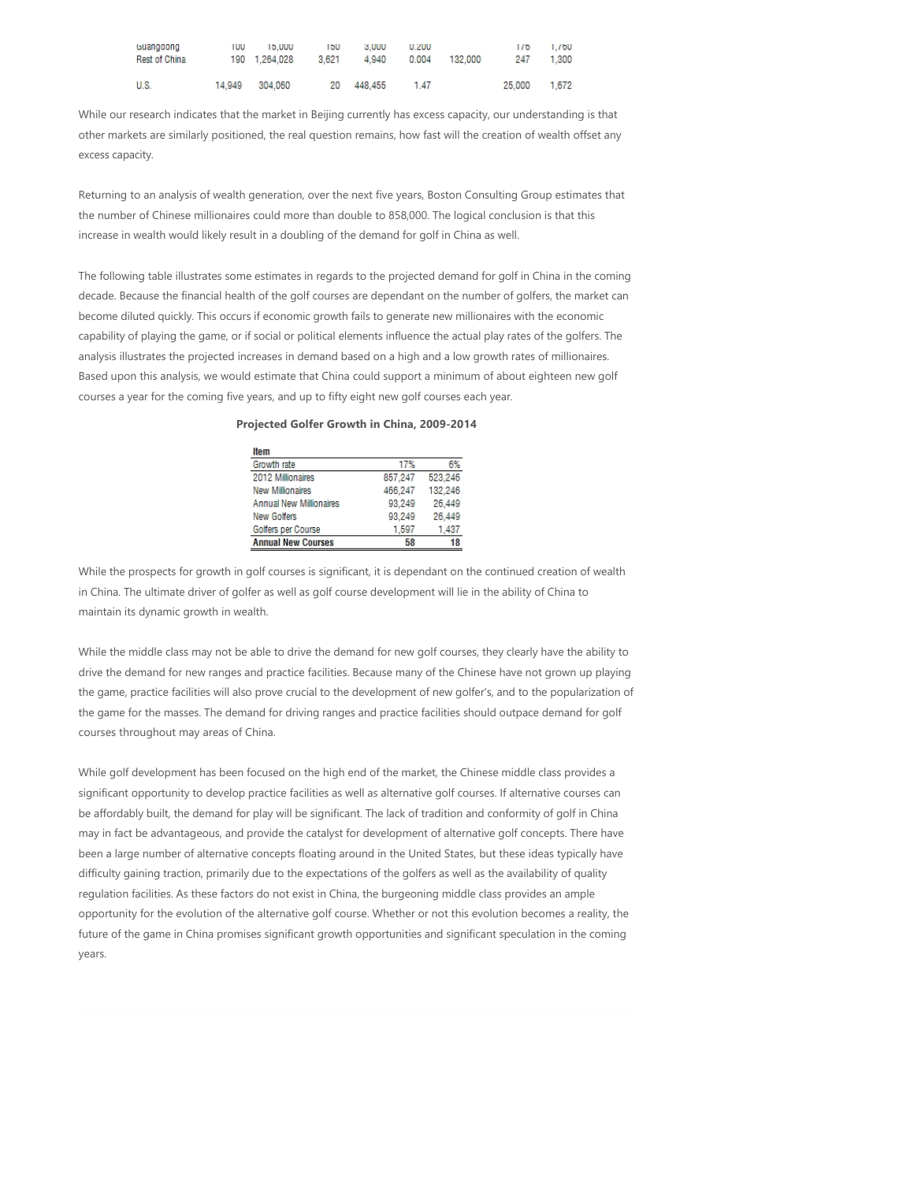| touanggong<br>Rest of China | l UU   | 15.000<br>190 1.264.028 | 150<br>3.621 | 3.000<br>4.940 | <b>U.ZUU</b><br>0.004 | 132,000 | 170<br>247 | 1.700<br>1.300 |
|-----------------------------|--------|-------------------------|--------------|----------------|-----------------------|---------|------------|----------------|
| U.S.                        | 14.949 | 304.060                 |              | 20 448,455     | 1.47                  |         | 25,000     | 1.672          |

While our research indicates that the market in Beijing currently has excess capacity, our understanding is that other markets are similarly positioned, the real question remains, how fast will the creation of wealth offset any excess capacity.

Returning to an analysis of wealth generation, over the next five years, Boston Consulting Group estimates that the number of Chinese millionaires could more than double to 858,000. The logical conclusion is that this increase in wealth would likely result in a doubling of the demand for golf in China as well.

The following table illustrates some estimates in regards to the projected demand for golf in China in the coming decade. Because the financial health of the golf courses are dependant on the number of golfers, the market can become diluted quickly. This occurs if economic growth fails to generate new millionaires with the economic capability of playing the game, or if social or political elements influence the actual play rates of the golfers. The analysis illustrates the projected increases in demand based on a high and a low growth rates of millionaires. Based upon this analysis, we would estimate that China could support a minimum of about eighteen new golf courses a year for the coming five years, and up to fifty eight new golf courses each year.

|  |  |  |  |  | Projected Golfer Growth in China, 2009-2014 |
|--|--|--|--|--|---------------------------------------------|
|--|--|--|--|--|---------------------------------------------|

| Item                           |         |         |
|--------------------------------|---------|---------|
| Growth rate                    | 17%     | 6%      |
| 2012 Millionaires              | 857,247 | 523,246 |
| <b>New Millionaires</b>        | 466,247 | 132,246 |
| <b>Annual New Millionaires</b> | 93.249  | 26,449  |
| New Golfers                    | 93,249  | 26,449  |
| Golfers per Course             | 1,597   | 1.437   |
| <b>Annual New Courses</b>      | 58      | 18      |

While the prospects for growth in golf courses is significant, it is dependant on the continued creation of wealth in China. The ultimate driver of golfer as well as golf course development will lie in the ability of China to maintain its dynamic growth in wealth.

While the middle class may not be able to drive the demand for new golf courses, they clearly have the ability to drive the demand for new ranges and practice facilities. Because many of the Chinese have not grown up playing the game, practice facilities will also prove crucial to the development of new golfer's, and to the popularization of the game for the masses. The demand for driving ranges and practice facilities should outpace demand for golf courses throughout may areas of China.

While golf development has been focused on the high end of the market, the Chinese middle class provides a significant opportunity to develop practice facilities as well as alternative golf courses. If alternative courses can be affordably built, the demand for play will be significant. The lack of tradition and conformity of golf in China may in fact be advantageous, and provide the catalyst for development of alternative golf concepts. There have been a large number of alternative concepts floating around in the United States, but these ideas typically have difficulty gaining traction, primarily due to the expectations of the golfers as well as the availability of quality regulation facilities. As these factors do not exist in China, the burgeoning middle class provides an ample opportunity for the evolution of the alternative golf course. Whether or not this evolution becomes a reality, the future of the game in China promises significant growth opportunities and significant speculation in the coming years.